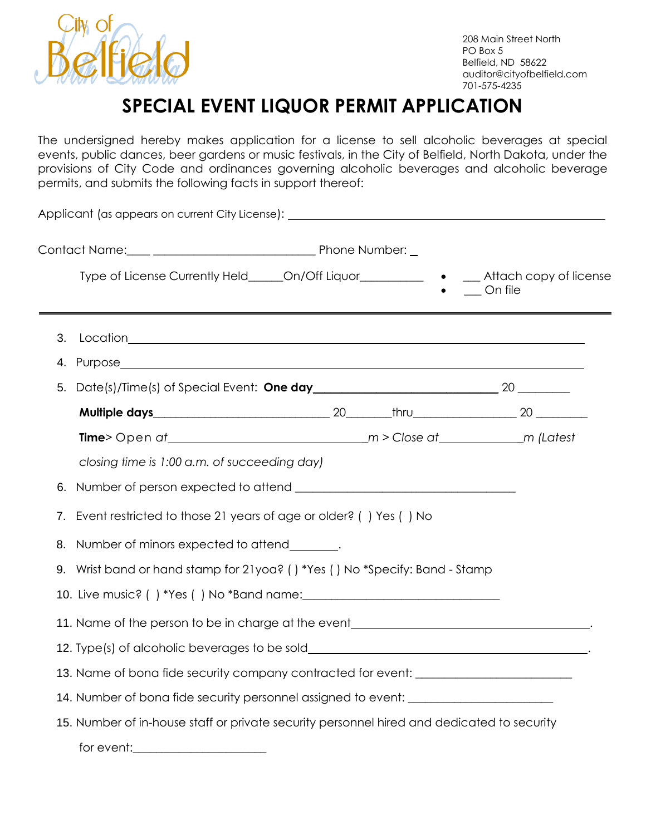

## **SPECIAL EVENT LIQUOR PERMIT APPLICATION**

The undersigned hereby makes application for a license to sell alcoholic beverages at special events, public dances, beer gardens or music festivals, in the City of Belfield, North Dakota, under the provisions of City Code and ordinances governing alcoholic beverages and alcoholic beverage permits, and submits the following facts in support thereof:

Applicant (as appears on current City License): Contact Name: example and the set of the Phone Number: Type of License Currently Held\_\_\_\_\_\_On/Off Liquor\_\_\_\_\_\_\_\_\_\_\_ • \_\_\_ Attach copy of license On file 3. Location 4. Purpose 5. Date(s)/Time(s) of Special Event: **One day**\_\_\_\_\_\_\_\_\_\_\_\_\_\_\_\_\_\_\_\_\_\_\_\_\_\_\_\_\_\_\_\_ 20 \_\_\_\_\_\_\_\_\_ **Multiple days and a set of the set of thru** and thru and thru and thru and thru **Time**> Open *at \_m > Close at \_m (Latest closing time is 1:00 a.m. of succeeding day)* 6. Number of person expected to attend **with an article of the set of person expected** to attend 7. Event restricted to those 21 years of age or older? ( ) Yes ( ) No 8. Number of minors expected to attend . 9. Wrist band or hand stamp for 21yoa? ( ) \*Yes ( ) No \*Specify: Band - Stamp 10. Live music? ( ) \*Yes ( ) No \*Band name:\_\_\_\_\_\_\_\_\_\_\_\_\_\_\_\_\_\_\_\_\_\_\_\_\_\_\_\_\_\_\_\_\_\_ 11. Name of the person to be in charge at the event **the example of the set of the set of the set of the set of the set of the set of the set of the set of the set of the set of the set of the set of the set of the set of** 12. Type(s) of alcoholic beverages to be sold . 13. Name of bona fide security company contracted for event: \_\_\_\_\_\_\_\_\_\_\_\_\_\_\_\_\_\_\_ 14. Number of bona fide security personnel assigned to event: 15. Number of in-house staff or private security personnel hired and dedicated to security for event:  $\sqrt{2}$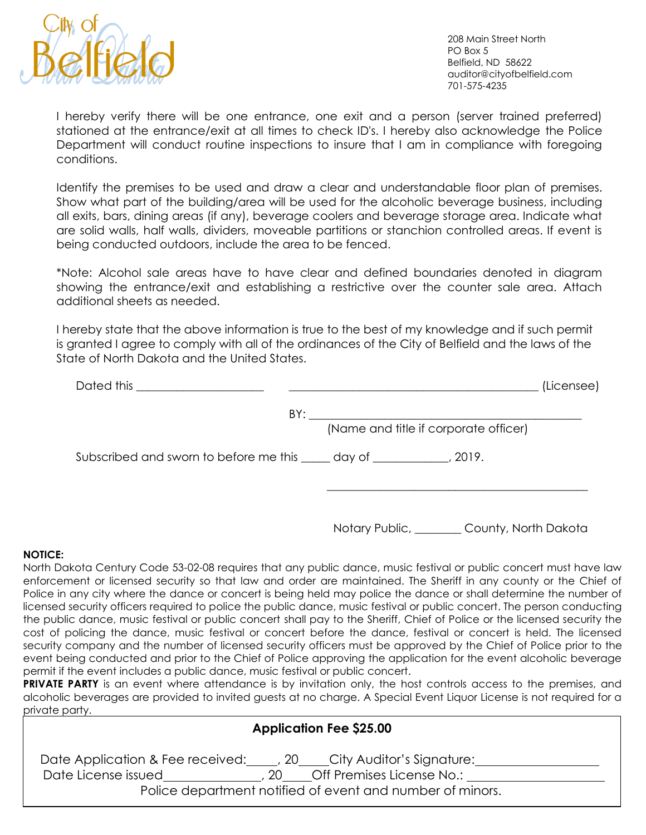

208 Main Street North PO Box 5 Belfield, ND 58622 auditor@cityofbelfield.com 701-575-4235

I hereby verify there will be one entrance, one exit and a person (server trained preferred) stationed at the entrance/exit at all times to check ID's. I hereby also acknowledge the Police Department will conduct routine inspections to insure that I am in compliance with foregoing conditions.

Identify the premises to be used and draw a clear and understandable floor plan of premises. Show what part of the building/area will be used for the alcoholic beverage business, including all exits, bars, dining areas (if any), beverage coolers and beverage storage area. Indicate what are solid walls, half walls, dividers, moveable partitions or stanchion controlled areas. If event is being conducted outdoors, include the area to be fenced.

\*Note: Alcohol sale areas have to have clear and defined boundaries denoted in diagram showing the entrance/exit and establishing a restrictive over the counter sale area. Attach additional sheets as needed.

I hereby state that the above information is true to the best of my knowledge and if such permit is granted I agree to comply with all of the ordinances of the City of Belfield and the laws of the State of North Dakota and the United States.

| Dated this the contract of the contract of the contract of the contract of the contract of the contract of the | (Licensee)                            |
|----------------------------------------------------------------------------------------------------------------|---------------------------------------|
| BY:                                                                                                            |                                       |
|                                                                                                                | (Name and title if corporate officer) |
| Subscribed and sworn to before me this _____ day of _____________, 2019.                                       |                                       |
|                                                                                                                |                                       |

Notary Public, County, North Dakota

## **NOTICE:**

North Dakota Century Code 53-02-08 requires that any public dance, music festival or public concert must have law enforcement or licensed security so that law and order are maintained. The Sheriff in any county or the Chief of Police in any city where the dance or concert is being held may police the dance or shall determine the number of licensed security officers required to police the public dance, music festival or public concert. The person conducting the public dance, music festival or public concert shall pay to the Sheriff, Chief of Police or the licensed security the cost of policing the dance, music festival or concert before the dance, festival or concert is held. The licensed security company and the number of licensed security officers must be approved by the Chief of Police prior to the event being conducted and prior to the Chief of Police approving the application for the event alcoholic beverage permit if the event includes a public dance, music festival or public concert.

**PRIVATE PARTY** is an event where attendance is by invitation only, the host controls access to the premises, and alcoholic beverages are provided to invited guests at no charge. A Special Event Liquor License is not required for a private party.

| <b>Application Fee \$25.00</b>                                                                                 |  |
|----------------------------------------------------------------------------------------------------------------|--|
| Date Application & Fee received: (20) City Auditor's Signature:                                                |  |
| Date License issued (20 Off Premises License No.:<br>Police department notified of event and number of minors. |  |
|                                                                                                                |  |